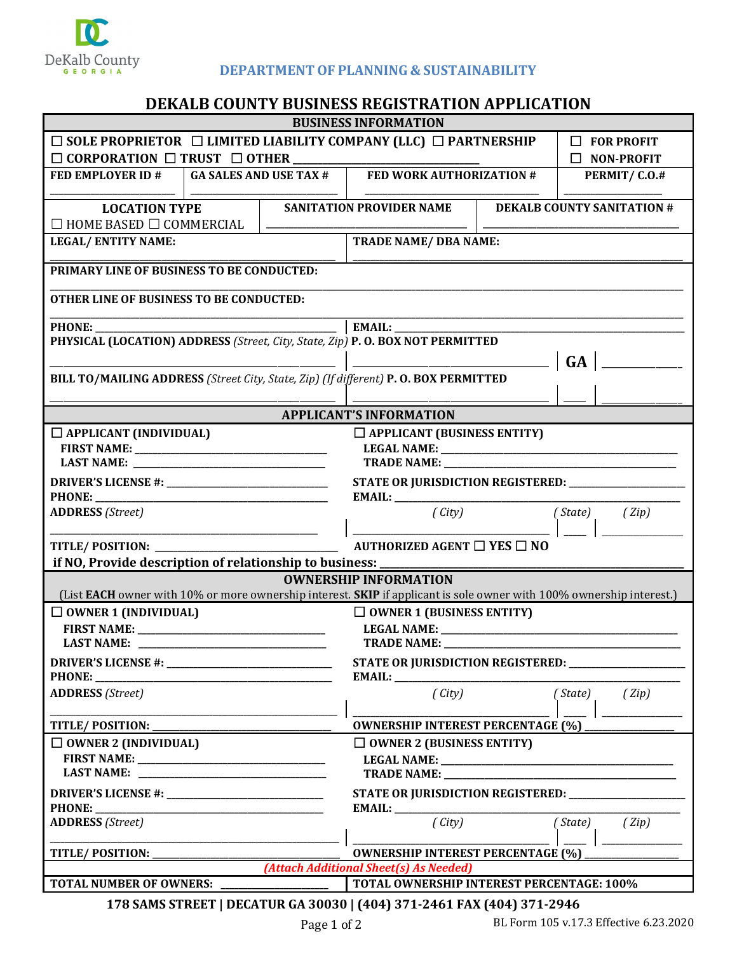

## **DEPARTMENTOF PLANNING & SUSTAINABILITY**

## **DEKALB COUNTY BUSINESS REGISTRATION APPLICATION**

| <b>BUSINESS INFORMATION</b>                                                                                                                          |                                                                                  |  |                                                                                                                                 |                                  |              |                                   |  |  |
|------------------------------------------------------------------------------------------------------------------------------------------------------|----------------------------------------------------------------------------------|--|---------------------------------------------------------------------------------------------------------------------------------|----------------------------------|--------------|-----------------------------------|--|--|
|                                                                                                                                                      | $\Box$ SOLE PROPRIETOR $\Box$ LIMITED LIABILITY COMPANY (LLC) $\Box$ PARTNERSHIP |  | $\Box$ FOR PROFIT                                                                                                               |                                  |              |                                   |  |  |
| $\Box$ CORPORATION $\Box$ TRUST $\Box$ OTHER                                                                                                         |                                                                                  |  |                                                                                                                                 | $\Box$ NON-PROFIT                |              |                                   |  |  |
| FED EMPLOYER ID $\#$   GA SALES AND USE TAX $\#$                                                                                                     |                                                                                  |  | FED WORK AUTHORIZATION #                                                                                                        |                                  | PERMIT/C.0.# |                                   |  |  |
|                                                                                                                                                      |                                                                                  |  |                                                                                                                                 |                                  |              |                                   |  |  |
| <b>LOCATION TYPE</b>                                                                                                                                 |                                                                                  |  | <b>SANITATION PROVIDER NAME</b>                                                                                                 |                                  |              | <b>DEKALB COUNTY SANITATION #</b> |  |  |
| $\Box$ HOME BASED $\Box$ COMMERCIAL                                                                                                                  |                                                                                  |  |                                                                                                                                 |                                  |              |                                   |  |  |
| <b>LEGAL/ENTITY NAME:</b>                                                                                                                            |                                                                                  |  | <b>TRADE NAME/ DBA NAME:</b>                                                                                                    |                                  |              |                                   |  |  |
|                                                                                                                                                      |                                                                                  |  |                                                                                                                                 |                                  |              |                                   |  |  |
| PRIMARY LINE OF BUSINESS TO BE CONDUCTED:                                                                                                            |                                                                                  |  |                                                                                                                                 |                                  |              |                                   |  |  |
| <b>OTHER LINE OF BUSINESS TO BE CONDUCTED:</b>                                                                                                       |                                                                                  |  |                                                                                                                                 |                                  |              |                                   |  |  |
|                                                                                                                                                      |                                                                                  |  |                                                                                                                                 |                                  |              |                                   |  |  |
| PHYSICAL (LOCATION) ADDRESS (Street, City, State, Zip) P. O. BOX NOT PERMITTED                                                                       |                                                                                  |  |                                                                                                                                 |                                  |              |                                   |  |  |
|                                                                                                                                                      |                                                                                  |  | <b>GA</b>                                                                                                                       |                                  |              |                                   |  |  |
| BILL TO/MAILING ADDRESS (Street City, State, Zip) (If different) P.O. BOX PERMITTED                                                                  |                                                                                  |  |                                                                                                                                 |                                  |              |                                   |  |  |
|                                                                                                                                                      |                                                                                  |  |                                                                                                                                 |                                  |              |                                   |  |  |
|                                                                                                                                                      |                                                                                  |  | <b>APPLICANT'S INFORMATION</b>                                                                                                  |                                  |              |                                   |  |  |
| $\Box$ APPLICANT (INDIVIDUAL)                                                                                                                        |                                                                                  |  | $\Box$ APPLICANT (BUSINESS ENTITY)                                                                                              |                                  |              |                                   |  |  |
|                                                                                                                                                      |                                                                                  |  |                                                                                                                                 |                                  |              |                                   |  |  |
|                                                                                                                                                      |                                                                                  |  | TRADE NAME: NAME:                                                                                                               |                                  |              |                                   |  |  |
|                                                                                                                                                      |                                                                                  |  | STATE OR JURISDICTION REGISTERED: ______________                                                                                |                                  |              |                                   |  |  |
|                                                                                                                                                      |                                                                                  |  |                                                                                                                                 |                                  |              |                                   |  |  |
| <b>ADDRESS</b> (Street)                                                                                                                              |                                                                                  |  | $(\mathit{City})$                                                                                                               |                                  | (State)      | (Zip)                             |  |  |
|                                                                                                                                                      |                                                                                  |  |                                                                                                                                 |                                  |              |                                   |  |  |
|                                                                                                                                                      |                                                                                  |  |                                                                                                                                 |                                  |              |                                   |  |  |
| if NO, Provide description of relationship to business:                                                                                              |                                                                                  |  |                                                                                                                                 |                                  |              |                                   |  |  |
| <b>OWNERSHIP INFORMATION</b><br>(List EACH owner with 10% or more ownership interest. SKIP if applicant is sole owner with 100% ownership interest.) |                                                                                  |  |                                                                                                                                 |                                  |              |                                   |  |  |
|                                                                                                                                                      |                                                                                  |  |                                                                                                                                 |                                  |              |                                   |  |  |
| $\Box$ OWNER 1 (INDIVIDUAL)                                                                                                                          |                                                                                  |  |                                                                                                                                 | $\Box$ OWNER 1 (BUSINESS ENTITY) |              |                                   |  |  |
| <b>LAST NAME:</b>                                                                                                                                    |                                                                                  |  | LEGAL NAME: VALUE AND THE SERVICE OF THE SERVICE OF THE SERVICE OF THE SERVICE OF THE SERVICE OF THE SERVICE O<br>TRADE NAME: _ |                                  |              |                                   |  |  |
|                                                                                                                                                      | STATE OR JURISDICTION REGISTERED: ____________                                   |  |                                                                                                                                 |                                  |              |                                   |  |  |
| <b>PHONE:</b>                                                                                                                                        |                                                                                  |  | <b>EMAIL:</b> _______________                                                                                                   |                                  |              |                                   |  |  |
| <b>ADDRESS</b> (Street)                                                                                                                              |                                                                                  |  | (City)                                                                                                                          |                                  | (State)      | (Zip)                             |  |  |
|                                                                                                                                                      |                                                                                  |  |                                                                                                                                 |                                  |              |                                   |  |  |
| <b>TITLE/POSITION:</b>                                                                                                                               |                                                                                  |  | <b>OWNERSHIP INTEREST PERCENTAGE (%)</b>                                                                                        |                                  |              |                                   |  |  |
| $\Box$ OWNER 2 (INDIVIDUAL)                                                                                                                          |                                                                                  |  |                                                                                                                                 | $\Box$ OWNER 2 (BUSINESS ENTITY) |              |                                   |  |  |
|                                                                                                                                                      |                                                                                  |  |                                                                                                                                 |                                  |              |                                   |  |  |
|                                                                                                                                                      |                                                                                  |  |                                                                                                                                 |                                  |              |                                   |  |  |
|                                                                                                                                                      |                                                                                  |  | STATE OR JURISDICTION REGISTERED: _____________                                                                                 |                                  |              |                                   |  |  |
| PHONE:<br><u> 1980 - Johann Barbara, martin a bhaile an t-Alban an t-Alban an t-Alban an t-Alban an t-Alban an t-Alban an t-</u>                     |                                                                                  |  |                                                                                                                                 |                                  |              |                                   |  |  |
| <b>ADDRESS</b> (Street)                                                                                                                              |                                                                                  |  | (City)                                                                                                                          |                                  | (State)      | (Zip)                             |  |  |
| TITLE/POSITION:                                                                                                                                      |                                                                                  |  |                                                                                                                                 |                                  |              |                                   |  |  |
| <b>OWNERSHIP INTEREST PERCENTAGE (%)</b><br>(Attach Additional Sheet(s) As Needed)                                                                   |                                                                                  |  |                                                                                                                                 |                                  |              |                                   |  |  |
| TOTAL OWNERSHIP INTEREST PERCENTAGE: 100%<br><b>TOTAL NUMBER OF OWNERS:</b>                                                                          |                                                                                  |  |                                                                                                                                 |                                  |              |                                   |  |  |
| 178 SAMS STREET   DECATUR GA 30030   (404) 371-2461 FAX (404) 371-2946                                                                               |                                                                                  |  |                                                                                                                                 |                                  |              |                                   |  |  |
|                                                                                                                                                      |                                                                                  |  |                                                                                                                                 |                                  |              |                                   |  |  |